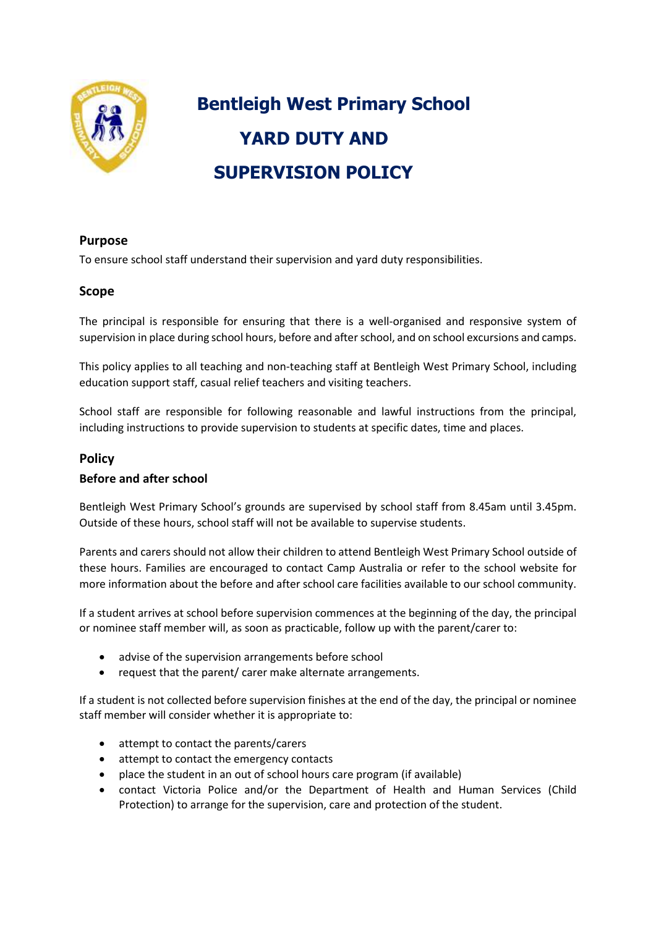

# **Bentleigh West Primary School YARD DUTY AND SUPERVISION POLICY**

## **Purpose**

To ensure school staff understand their supervision and yard duty responsibilities.

## **Scope**

The principal is responsible for ensuring that there is a well-organised and responsive system of supervision in place during school hours, before and after school, and on school excursions and camps.

This policy applies to all teaching and non-teaching staff at Bentleigh West Primary School, including education support staff, casual relief teachers and visiting teachers.

School staff are responsible for following reasonable and lawful instructions from the principal, including instructions to provide supervision to students at specific dates, time and places.

## **Policy**

## **Before and after school**

Bentleigh West Primary School's grounds are supervised by school staff from 8.45am until 3.45pm. Outside of these hours, school staff will not be available to supervise students.

Parents and carers should not allow their children to attend Bentleigh West Primary School outside of these hours. Families are encouraged to contact Camp Australia or refer to the school website for more information about the before and after school care facilities available to our school community.

If a student arrives at school before supervision commences at the beginning of the day, the principal or nominee staff member will, as soon as practicable, follow up with the parent/carer to:

- advise of the supervision arrangements before school
- request that the parent/ carer make alternate arrangements.

If a student is not collected before supervision finishes at the end of the day, the principal or nominee staff member will consider whether it is appropriate to:

- attempt to contact the parents/carers
- attempt to contact the emergency contacts
- place the student in an out of school hours care program (if available)
- contact Victoria Police and/or the Department of Health and Human Services (Child Protection) to arrange for the supervision, care and protection of the student.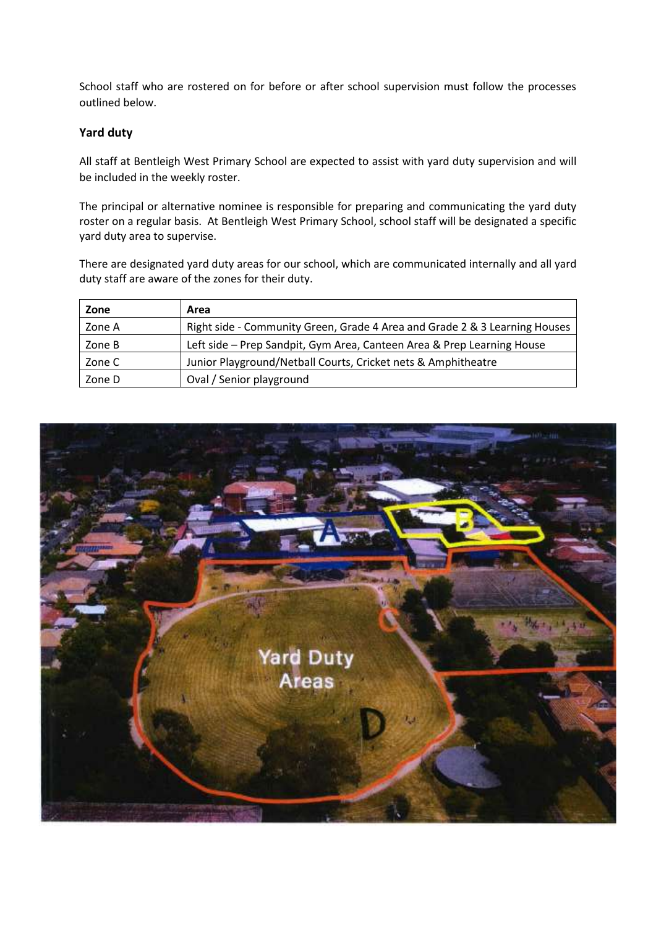School staff who are rostered on for before or after school supervision must follow the processes outlined below.

#### **Yard duty**

All staff at Bentleigh West Primary School are expected to assist with yard duty supervision and will be included in the weekly roster.

The principal or alternative nominee is responsible for preparing and communicating the yard duty roster on a regular basis. At Bentleigh West Primary School, school staff will be designated a specific yard duty area to supervise.

There are designated yard duty areas for our school, which are communicated internally and all yard duty staff are aware of the zones for their duty.

| Zone   | Area                                                                       |
|--------|----------------------------------------------------------------------------|
| Zone A | Right side - Community Green, Grade 4 Area and Grade 2 & 3 Learning Houses |
| Zone B | Left side - Prep Sandpit, Gym Area, Canteen Area & Prep Learning House     |
| Zone C | Junior Playground/Netball Courts, Cricket nets & Amphitheatre              |
| Zone D | Oval / Senior playground                                                   |

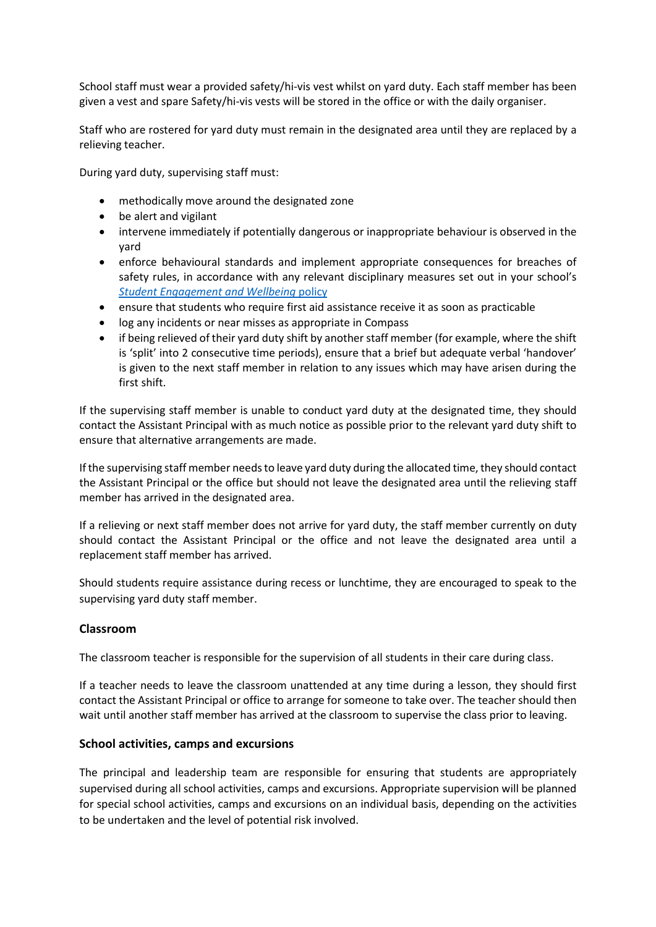School staff must wear a provided safety/hi-vis vest whilst on yard duty. Each staff member has been given a vest and spare Safety/hi-vis vests will be stored in the office or with the daily organiser.

Staff who are rostered for yard duty must remain in the designated area until they are replaced by a relieving teacher.

During yard duty, supervising staff must:

- methodically move around the designated zone
- be alert and vigilant
- intervene immediately if potentially dangerous or inappropriate behaviour is observed in the yard
- enforce behavioural standards and implement appropriate consequences for breaches of safety rules, in accordance with any relevant disciplinary measures set out in your school's *Student [Engagement and Wellbeing](https://www.bentleighwestps.vic.edu.au/our-policies)* policy
- ensure that students who require first aid assistance receive it as soon as practicable
- log any incidents or near misses as appropriate in Compass
- if being relieved of their yard duty shift by another staff member (for example, where the shift is 'split' into 2 consecutive time periods), ensure that a brief but adequate verbal 'handover' is given to the next staff member in relation to any issues which may have arisen during the first shift.

If the supervising staff member is unable to conduct yard duty at the designated time, they should contact the Assistant Principal with as much notice as possible prior to the relevant yard duty shift to ensure that alternative arrangements are made.

If the supervising staff member needs to leave yard duty during the allocated time, they should contact the Assistant Principal or the office but should not leave the designated area until the relieving staff member has arrived in the designated area.

If a relieving or next staff member does not arrive for yard duty, the staff member currently on duty should contact the Assistant Principal or the office and not leave the designated area until a replacement staff member has arrived.

Should students require assistance during recess or lunchtime, they are encouraged to speak to the supervising yard duty staff member.

## **Classroom**

The classroom teacher is responsible for the supervision of all students in their care during class.

If a teacher needs to leave the classroom unattended at any time during a lesson, they should first contact the Assistant Principal or office to arrange for someone to take over. The teacher should then wait until another staff member has arrived at the classroom to supervise the class prior to leaving.

#### **School activities, camps and excursions**

The principal and leadership team are responsible for ensuring that students are appropriately supervised during all school activities, camps and excursions. Appropriate supervision will be planned for special school activities, camps and excursions on an individual basis, depending on the activities to be undertaken and the level of potential risk involved.